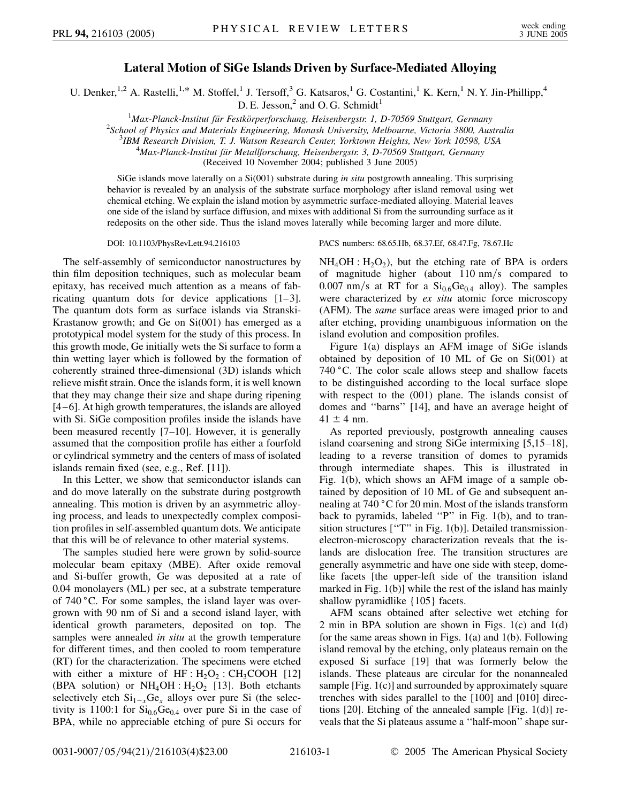## **Lateral Motion of SiGe Islands Driven by Surface-Mediated Alloying**

U. Denker,<sup>1,2</sup> A. Rastelli,<sup>1,\*</sup> M. Stoffel,<sup>1</sup> J. Tersoff,<sup>3</sup> G. Katsaros,<sup>1</sup> G. Costantini,<sup>1</sup> K. Kern,<sup>1</sup> N. Y. Jin-Phillipp,<sup>4</sup>

D. E. Jesson, $<sup>2</sup>$  and O. G. Schmidt<sup>1</sup></sup>

<sup>1</sup> Max-Planck-Institut für Festkörperforschung, Heisenbergstr. 1, D-70569 Stuttgart, Germany<br><sup>2</sup> Sebool of Physics and Materials Engineering, Monach University, Melbourne, Victoria 3800, Aug

<sup>2</sup> School of Physics and Materials Engineering, Monash University, Melbourne, Victoria 3800, Australia

<sup>3</sup>IBM Research Division, T. J. Watson Research Center, Yorktown Heights, New York 10598, USA

*Max-Planck-Institut fu¨r Metallforschung, Heisenbergstr. 3, D-70569 Stuttgart, Germany*

(Received 10 November 2004; published 3 June 2005)

SiGe islands move laterally on a Si(001) substrate during *in situ* postgrowth annealing. This surprising behavior is revealed by an analysis of the substrate surface morphology after island removal using wet chemical etching. We explain the island motion by asymmetric surface-mediated alloying. Material leaves one side of the island by surface diffusion, and mixes with additional Si from the surrounding surface as it redeposits on the other side. Thus the island moves laterally while becoming larger and more dilute.

The self-assembly of semiconductor nanostructures by thin film deposition techniques, such as molecular beam epitaxy, has received much attention as a means of fabricating quantum dots for device applications [1–3]. The quantum dots form as surface islands via Stranski-Krastanow growth; and Ge on Si(001) has emerged as a prototypical model system for the study of this process. In this growth mode, Ge initially wets the Si surface to form a thin wetting layer which is followed by the formation of coherently strained three-dimensional (3D) islands which relieve misfit strain. Once the islands form, it is well known that they may change their size and shape during ripening [4–6]. At high growth temperatures, the islands are alloyed with Si. SiGe composition profiles inside the islands have been measured recently [7–10]. However, it is generally assumed that the composition profile has either a fourfold or cylindrical symmetry and the centers of mass of isolated islands remain fixed (see, e.g., Ref. [11]).

In this Letter, we show that semiconductor islands can and do move laterally on the substrate during postgrowth annealing. This motion is driven by an asymmetric alloying process, and leads to unexpectedly complex composition profiles in self-assembled quantum dots. We anticipate that this will be of relevance to other material systems.

The samples studied here were grown by solid-source molecular beam epitaxy (MBE). After oxide removal and Si-buffer growth, Ge was deposited at a rate of 0.04 monolayers (ML) per sec, at a substrate temperature of 740 C. For some samples, the island layer was overgrown with 90 nm of Si and a second island layer, with identical growth parameters, deposited on top. The samples were annealed *in situ* at the growth temperature for different times, and then cooled to room temperature (RT) for the characterization. The specimens were etched with either a mixture of  $HF : H_2O_2 : CH_3COOH$  [12] (BPA solution) or  $NH_4OH$  :  $H_2O_2$  [13]. Both etchants selectively etch  $Si_{1-x}Ge_x$  alloys over pure Si (the selectivity is 1100:1 for  $Si<sub>0.6</sub>Ge<sub>0.4</sub>$  over pure Si in the case of BPA, while no appreciable etching of pure Si occurs for

DOI: 10.1103/PhysRevLett.94.216103 PACS numbers: 68.65.Hb, 68.37.Ef, 68.47.Fg, 78.67.Hc

 $NH_4OH$  :  $H_2O_2$ ), but the etching rate of BPA is orders of magnitude higher (about 110 nm/s compared to 0.007 nm/s at RT for a  $Si<sub>0.6</sub>Ge<sub>0.4</sub>$  alloy). The samples were characterized by *ex situ* atomic force microscopy (AFM). The *same* surface areas were imaged prior to and after etching, providing unambiguous information on the island evolution and composition profiles.

Figure 1(a) displays an AFM image of SiGe islands obtained by deposition of 10 ML of Ge on Si(001) at 740 °C. The color scale allows steep and shallow facets to be distinguished according to the local surface slope with respect to the  $(001)$  plane. The islands consist of domes and ''barns'' [14], and have an average height of  $41 \pm 4$  nm.

As reported previously, postgrowth annealing causes island coarsening and strong SiGe intermixing [5,15–18], leading to a reverse transition of domes to pyramids through intermediate shapes. This is illustrated in Fig. 1(b), which shows an AFM image of a sample obtained by deposition of 10 ML of Ge and subsequent annealing at  $740\degree$ C for 20 min. Most of the islands transform back to pyramids, labeled "P" in Fig. 1(b), and to transition structures ["T" in Fig. 1(b)]. Detailed transmissionelectron-microscopy characterization reveals that the islands are dislocation free. The transition structures are generally asymmetric and have one side with steep, domelike facets [the upper-left side of the transition island marked in Fig. 1(b)] while the rest of the island has mainly shallow pyramidlike {105} facets.

AFM scans obtained after selective wet etching for 2 min in BPA solution are shown in Figs. 1(c) and 1(d) for the same areas shown in Figs. 1(a) and 1(b). Following island removal by the etching, only plateaus remain on the exposed Si surface [19] that was formerly below the islands. These plateaus are circular for the nonannealed sample [Fig. 1(c)] and surrounded by approximately square trenches with sides parallel to the [100] and [010] directions [20]. Etching of the annealed sample [Fig. 1(d)] reveals that the Si plateaus assume a ''half-moon'' shape sur-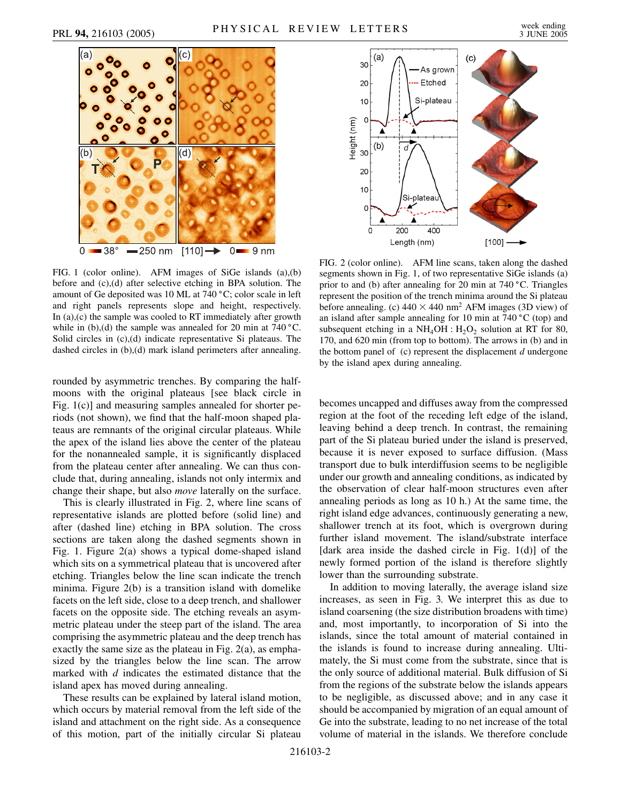

FIG. 1 (color online). AFM images of SiGe islands (a),(b) before and (c),(d) after selective etching in BPA solution. The amount of Ge deposited was 10 ML at 740 °C; color scale in left and right panels represents slope and height, respectively. In (a),(c) the sample was cooled to RT immediately after growth while in  $(b)$ , (d) the sample was annealed for 20 min at 740 °C. Solid circles in (c),(d) indicate representative Si plateaus. The dashed circles in (b),(d) mark island perimeters after annealing.

rounded by asymmetric trenches. By comparing the halfmoons with the original plateaus [see black circle in Fig. 1(c)] and measuring samples annealed for shorter periods (not shown), we find that the half-moon shaped plateaus are remnants of the original circular plateaus. While the apex of the island lies above the center of the plateau for the nonannealed sample, it is significantly displaced from the plateau center after annealing. We can thus conclude that, during annealing, islands not only intermix and change their shape, but also *move* laterally on the surface.

This is clearly illustrated in Fig. 2, where line scans of representative islands are plotted before (solid line) and after (dashed line) etching in BPA solution. The cross sections are taken along the dashed segments shown in Fig. 1. Figure 2(a) shows a typical dome-shaped island which sits on a symmetrical plateau that is uncovered after etching. Triangles below the line scan indicate the trench minima. Figure 2(b) is a transition island with domelike facets on the left side, close to a deep trench, and shallower facets on the opposite side. The etching reveals an asymmetric plateau under the steep part of the island. The area comprising the asymmetric plateau and the deep trench has exactly the same size as the plateau in Fig.  $2(a)$ , as emphasized by the triangles below the line scan. The arrow marked with *d* indicates the estimated distance that the island apex has moved during annealing.

These results can be explained by lateral island motion, which occurs by material removal from the left side of the island and attachment on the right side. As a consequence of this motion, part of the initially circular Si plateau



FIG. 2 (color online). AFM line scans, taken along the dashed segments shown in Fig. 1, of two representative SiGe islands (a) prior to and (b) after annealing for 20 min at  $740\degree$ C. Triangles represent the position of the trench minima around the Si plateau before annealing. (c)  $440 \times 440$  nm<sup>2</sup> AFM images (3D view) of an island after sample annealing for 10 min at  $740\degree C$  (top) and subsequent etching in a  $NH<sub>4</sub>OH$  :  $H<sub>2</sub>O<sub>2</sub>$  solution at RT for 80, 170, and 620 min (from top to bottom). The arrows in (b) and in the bottom panel of (c) represent the displacement *d* undergone by the island apex during annealing.

becomes uncapped and diffuses away from the compressed region at the foot of the receding left edge of the island, leaving behind a deep trench. In contrast, the remaining part of the Si plateau buried under the island is preserved, because it is never exposed to surface diffusion. (Mass transport due to bulk interdiffusion seems to be negligible under our growth and annealing conditions, as indicated by the observation of clear half-moon structures even after annealing periods as long as 10 h.) At the same time, the right island edge advances, continuously generating a new, shallower trench at its foot, which is overgrown during further island movement. The island/substrate interface [dark area inside the dashed circle in Fig. 1(d)] of the newly formed portion of the island is therefore slightly lower than the surrounding substrate.

In addition to moving laterally, the average island size increases, as seen in Fig. 3. We interpret this as due to island coarsening (the size distribution broadens with time) and, most importantly, to incorporation of Si into the islands, since the total amount of material contained in the islands is found to increase during annealing. Ultimately, the Si must come from the substrate, since that is the only source of additional material. Bulk diffusion of Si from the regions of the substrate below the islands appears to be negligible, as discussed above; and in any case it should be accompanied by migration of an equal amount of Ge into the substrate, leading to no net increase of the total volume of material in the islands. We therefore conclude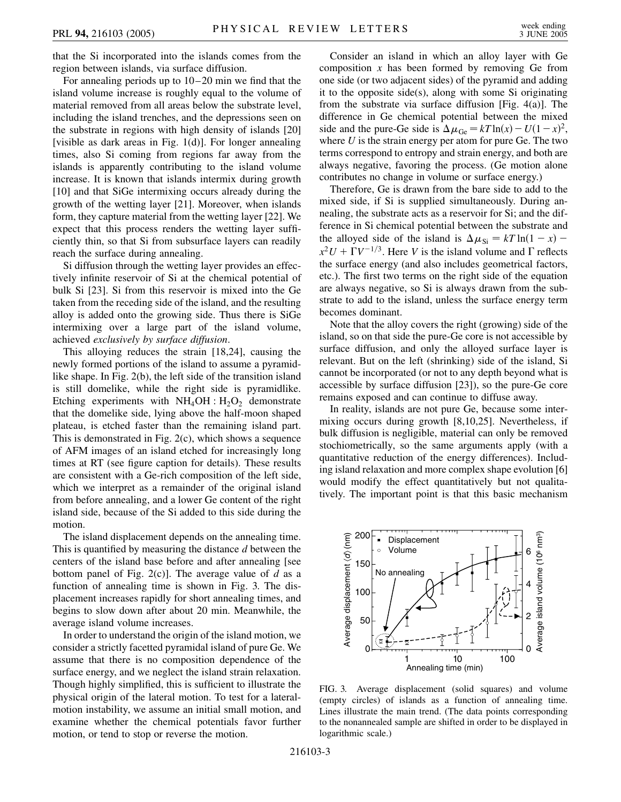that the Si incorporated into the islands comes from the region between islands, via surface diffusion.

For annealing periods up to 10–20 min we find that the island volume increase is roughly equal to the volume of material removed from all areas below the substrate level, including the island trenches, and the depressions seen on the substrate in regions with high density of islands [20] [visible as dark areas in Fig. 1(d)]. For longer annealing times, also Si coming from regions far away from the islands is apparently contributing to the island volume increase. It is known that islands intermix during growth [10] and that SiGe intermixing occurs already during the growth of the wetting layer [21]. Moreover, when islands form, they capture material from the wetting layer [22]. We expect that this process renders the wetting layer sufficiently thin, so that Si from subsurface layers can readily reach the surface during annealing.

Si diffusion through the wetting layer provides an effectively infinite reservoir of Si at the chemical potential of bulk Si [23]. Si from this reservoir is mixed into the Ge taken from the receding side of the island, and the resulting alloy is added onto the growing side. Thus there is SiGe intermixing over a large part of the island volume, achieved *exclusively by surface diffusion*.

This alloying reduces the strain [18,24], causing the newly formed portions of the island to assume a pyramidlike shape. In Fig. 2(b), the left side of the transition island is still domelike, while the right side is pyramidlike. Etching experiments with  $NH<sub>4</sub>OH$  :  $H<sub>2</sub>O<sub>2</sub>$  demonstrate that the domelike side, lying above the half-moon shaped plateau, is etched faster than the remaining island part. This is demonstrated in Fig. 2(c), which shows a sequence of AFM images of an island etched for increasingly long times at RT (see figure caption for details). These results are consistent with a Ge-rich composition of the left side, which we interpret as a remainder of the original island from before annealing, and a lower Ge content of the right island side, because of the Si added to this side during the motion.

The island displacement depends on the annealing time. This is quantified by measuring the distance *d* between the centers of the island base before and after annealing [see bottom panel of Fig. 2(c)]. The average value of *d* as a function of annealing time is shown in Fig. 3. The displacement increases rapidly for short annealing times, and begins to slow down after about 20 min. Meanwhile, the average island volume increases.

In order to understand the origin of the island motion, we consider a strictly facetted pyramidal island of pure Ge. We assume that there is no composition dependence of the surface energy, and we neglect the island strain relaxation. Though highly simplified, this is sufficient to illustrate the physical origin of the lateral motion. To test for a lateralmotion instability, we assume an initial small motion, and examine whether the chemical potentials favor further motion, or tend to stop or reverse the motion.

Consider an island in which an alloy layer with Ge composition *x* has been formed by removing Ge from one side (or two adjacent sides) of the pyramid and adding it to the opposite side(s), along with some Si originating from the substrate via surface diffusion [Fig. 4(a)]. The difference in Ge chemical potential between the mixed side and the pure-Ge side is  $\Delta \mu_{\text{Ge}} = kT \ln(x) - U(1-x)^2$ , where *U* is the strain energy per atom for pure Ge. The two terms correspond to entropy and strain energy, and both are always negative, favoring the process. (Ge motion alone contributes no change in volume or surface energy.)

Therefore, Ge is drawn from the bare side to add to the mixed side, if Si is supplied simultaneously. During annealing, the substrate acts as a reservoir for Si; and the difference in Si chemical potential between the substrate and the alloyed side of the island is  $\Delta \mu_{Si} = kT \ln(1 - x)$   $x^2U + \Gamma V^{-1/3}$ . Here *V* is the island volume and  $\Gamma$  reflects the surface energy (and also includes geometrical factors, etc.). The first two terms on the right side of the equation are always negative, so Si is always drawn from the substrate to add to the island, unless the surface energy term becomes dominant.

Note that the alloy covers the right (growing) side of the island, so on that side the pure-Ge core is not accessible by surface diffusion, and only the alloyed surface layer is relevant. But on the left (shrinking) side of the island, Si cannot be incorporated (or not to any depth beyond what is accessible by surface diffusion [23]), so the pure-Ge core remains exposed and can continue to diffuse away.

In reality, islands are not pure Ge, because some intermixing occurs during growth [8,10,25]. Nevertheless, if bulk diffusion is negligible, material can only be removed stochiometrically, so the same arguments apply (with a quantitative reduction of the energy differences). Including island relaxation and more complex shape evolution [6] would modify the effect quantitatively but not qualitatively. The important point is that this basic mechanism



FIG. 3. Average displacement (solid squares) and volume (empty circles) of islands as a function of annealing time. Lines illustrate the main trend. (The data points corresponding to the nonannealed sample are shifted in order to be displayed in logarithmic scale.)